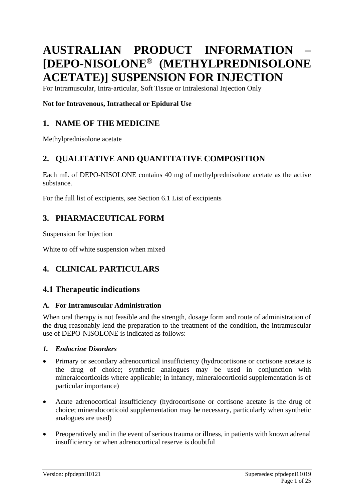# **AUSTRALIAN PRODUCT INFORMATION – [DEPO-NISOLONE® (METHYLPREDNISOLONE ACETATE)] SUSPENSION FOR INJECTION**

For Intramuscular, Intra-articular, Soft Tissue or Intralesional Injection Only

# **Not for Intravenous, Intrathecal or Epidural Use**

# **1. NAME OF THE MEDICINE**

Methylprednisolone acetate

# **2. QUALITATIVE AND QUANTITATIVE COMPOSITION**

Each mL of DEPO-NISOLONE contains 40 mg of methylprednisolone acetate as the active substance.

For the full list of excipients, see Section 6.1 List of excipients

# **3. PHARMACEUTICAL FORM**

Suspension for Injection

White to off white suspension when mixed

# **4. CLINICAL PARTICULARS**

# **4.1 Therapeutic indications**

### **A. For Intramuscular Administration**

When oral therapy is not feasible and the strength, dosage form and route of administration of the drug reasonably lend the preparation to the treatment of the condition, the intramuscular use of DEPO-NISOLONE is indicated as follows:

### *1. Endocrine Disorders*

- Primary or secondary adrenocortical insufficiency (hydrocortisone or cortisone acetate is the drug of choice; synthetic analogues may be used in conjunction with mineralocorticoids where applicable; in infancy, mineralocorticoid supplementation is of particular importance)
- Acute adrenocortical insufficiency (hydrocortisone or cortisone acetate is the drug of choice; mineralocorticoid supplementation may be necessary, particularly when synthetic analogues are used)
- Preoperatively and in the event of serious trauma or illness, in patients with known adrenal insufficiency or when adrenocortical reserve is doubtful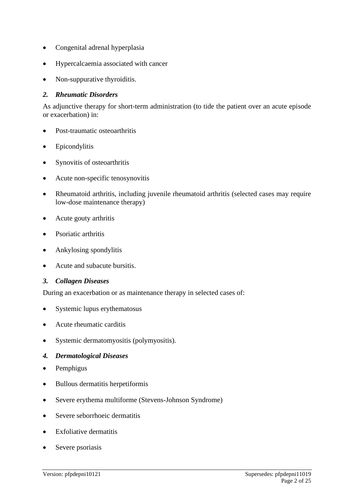- Congenital adrenal hyperplasia
- Hypercalcaemia associated with cancer
- Non-suppurative thyroiditis.

#### *2. Rheumatic Disorders*

As adjunctive therapy for short-term administration (to tide the patient over an acute episode or exacerbation) in:

- Post-traumatic osteoarthritis
- Epicondylitis
- Synovitis of osteoarthritis
- Acute non-specific tenosynovitis
- Rheumatoid arthritis, including juvenile rheumatoid arthritis (selected cases may require low-dose maintenance therapy)
- Acute gouty arthritis
- Psoriatic arthritis
- Ankylosing spondylitis
- Acute and subacute bursitis.

### *3. Collagen Diseases*

During an exacerbation or as maintenance therapy in selected cases of:

- Systemic lupus erythematosus
- Acute rheumatic carditis
- Systemic dermatomyositis (polymyositis).

### *4. Dermatological Diseases*

- Pemphigus
- Bullous dermatitis herpetiformis
- Severe erythema multiforme (Stevens-Johnson Syndrome)
- Severe seborrhoeic dermatitis
- Exfoliative dermatitis
- Severe psoriasis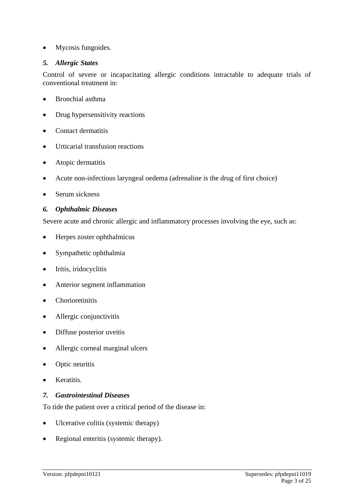• Mycosis fungoides.

### *5. Allergic States*

Control of severe or incapacitating allergic conditions intractable to adequate trials of conventional treatment in:

- Bronchial asthma
- Drug hypersensitivity reactions
- Contact dermatitis
- Urticarial transfusion reactions
- Atopic dermatitis
- Acute non-infectious laryngeal oedema (adrenaline is the drug of first choice)
- Serum sickness

### *6. Ophthalmic Diseases*

Severe acute and chronic allergic and inflammatory processes involving the eye, such as:

- Herpes zoster ophthalmicus
- Sympathetic ophthalmia
- Iritis, iridocyclitis
- Anterior segment inflammation
- Chorioretinitis
- Allergic conjunctivitis
- Diffuse posterior uveitis
- Allergic corneal marginal ulcers
- Optic neuritis
- Keratitis.

### *7. Gastrointestinal Diseases*

To tide the patient over a critical period of the disease in:

- Ulcerative colitis (systemic therapy)
- Regional enteritis (systemic therapy).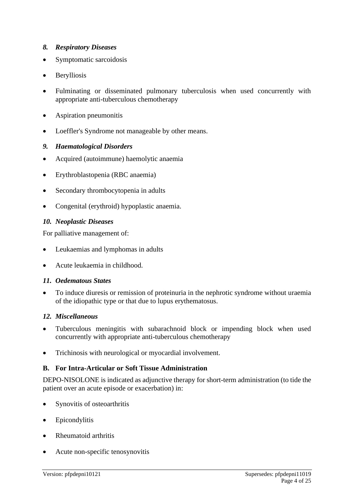### *8. Respiratory Diseases*

- Symptomatic sarcoidosis
- Berylliosis
- Fulminating or disseminated pulmonary tuberculosis when used concurrently with appropriate anti-tuberculous chemotherapy
- Aspiration pneumonitis
- Loeffler's Syndrome not manageable by other means.

### *9. Haematological Disorders*

- Acquired (autoimmune) haemolytic anaemia
- Erythroblastopenia (RBC anaemia)
- Secondary thrombocytopenia in adults
- Congenital (erythroid) hypoplastic anaemia.

### *10. Neoplastic Diseases*

For palliative management of:

- Leukaemias and lymphomas in adults
- Acute leukaemia in childhood.

### *11. Oedematous States*

• To induce diuresis or remission of proteinuria in the nephrotic syndrome without uraemia of the idiopathic type or that due to lupus erythematosus.

### *12. Miscellaneous*

- Tuberculous meningitis with subarachnoid block or impending block when used concurrently with appropriate anti-tuberculous chemotherapy
- Trichinosis with neurological or myocardial involvement.

### **B. For Intra-Articular or Soft Tissue Administration**

DEPO-NISOLONE is indicated as adjunctive therapy for short-term administration (to tide the patient over an acute episode or exacerbation) in:

- Synovitis of osteoarthritis
- Epicondylitis
- Rheumatoid arthritis
- Acute non-specific tenosynovitis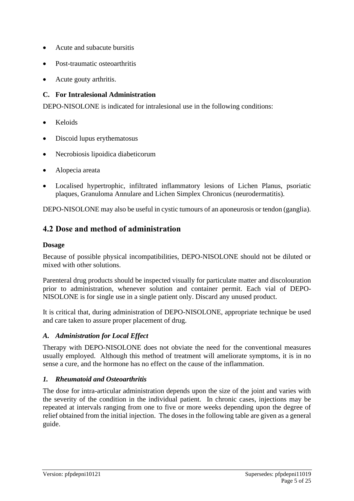- Acute and subacute bursitis
- Post-traumatic osteoarthritis
- Acute gouty arthritis.

# **C. For Intralesional Administration**

DEPO-NISOLONE is indicated for intralesional use in the following conditions:

- Keloids
- Discoid lupus erythematosus
- Necrobiosis lipoidica diabeticorum
- Alopecia areata
- Localised hypertrophic, infiltrated inflammatory lesions of Lichen Planus, psoriatic plaques, Granuloma Annulare and Lichen Simplex Chronicus (neurodermatitis).

DEPO-NISOLONE may also be useful in cystic tumours of an aponeurosis or tendon (ganglia).

# **4.2 Dose and method of administration**

## **Dosage**

Because of possible physical incompatibilities, DEPO-NISOLONE should not be diluted or mixed with other solutions.

Parenteral drug products should be inspected visually for particulate matter and discolouration prior to administration, whenever solution and container permit. Each vial of DEPO-NISOLONE is for single use in a single patient only. Discard any unused product.

It is critical that, during administration of DEPO-NISOLONE, appropriate technique be used and care taken to assure proper placement of drug.

## *A. Administration for Local Effect*

Therapy with DEPO-NISOLONE does not obviate the need for the conventional measures usually employed. Although this method of treatment will ameliorate symptoms, it is in no sense a cure, and the hormone has no effect on the cause of the inflammation.

## *1. Rheumatoid and Osteoarthritis*

The dose for intra-articular administration depends upon the size of the joint and varies with the severity of the condition in the individual patient. In chronic cases, injections may be repeated at intervals ranging from one to five or more weeks depending upon the degree of relief obtained from the initial injection. The doses in the following table are given as a general guide.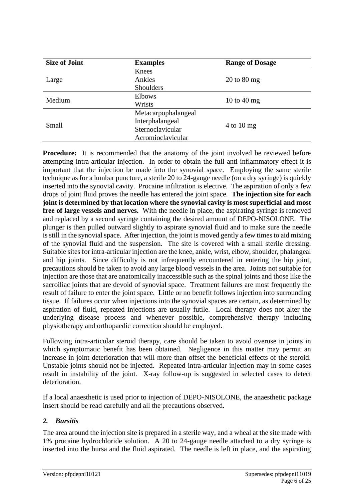| <b>Size of Joint</b> | <b>Examples</b>     | <b>Range of Dosage</b>         |
|----------------------|---------------------|--------------------------------|
|                      | Knees               |                                |
| Large                | Ankles              | $20 \text{ to } 80 \text{ mg}$ |
|                      | Shoulders           |                                |
| Medium               | <b>Elbows</b>       |                                |
|                      | Wrists              | 10 to 40 mg                    |
| Small                | Metacarpophalangeal |                                |
|                      | Interphalangeal     | $4$ to $10$ mg                 |
|                      | Sternoclavicular    |                                |
|                      | Acromioclavicular   |                                |

**Procedure:** It is recommended that the anatomy of the joint involved be reviewed before attempting intra-articular injection. In order to obtain the full anti-inflammatory effect it is important that the injection be made into the synovial space. Employing the same sterile technique as for a lumbar puncture, a sterile 20 to 24-gauge needle (on a dry syringe) is quickly inserted into the synovial cavity. Procaine infiltration is elective. The aspiration of only a few drops of joint fluid proves the needle has entered the joint space. **The injection site for each joint is determined by that location where the synovial cavity is most superficial and most free of large vessels and nerves.** With the needle in place, the aspirating syringe is removed and replaced by a second syringe containing the desired amount of DEPO-NISOLONE. The plunger is then pulled outward slightly to aspirate synovial fluid and to make sure the needle is still in the synovial space. After injection, the joint is moved gently a few times to aid mixing of the synovial fluid and the suspension. The site is covered with a small sterile dressing. Suitable sites for intra-articular injection are the knee, ankle, wrist, elbow, shoulder, phalangeal and hip joints. Since difficulty is not infrequently encountered in entering the hip joint, precautions should be taken to avoid any large blood vessels in the area. Joints not suitable for injection are those that are anatomically inaccessible such as the spinal joints and those like the sacroiliac joints that are devoid of synovial space. Treatment failures are most frequently the result of failure to enter the joint space. Little or no benefit follows injection into surrounding tissue. If failures occur when injections into the synovial spaces are certain, as determined by aspiration of fluid, repeated injections are usually futile. Local therapy does not alter the underlying disease process and whenever possible, comprehensive therapy including physiotherapy and orthopaedic correction should be employed.

Following intra-articular steroid therapy, care should be taken to avoid overuse in joints in which symptomatic benefit has been obtained. Negligence in this matter may permit an increase in joint deterioration that will more than offset the beneficial effects of the steroid. Unstable joints should not be injected. Repeated intra-articular injection may in some cases result in instability of the joint. X-ray follow-up is suggested in selected cases to detect deterioration.

If a local anaesthetic is used prior to injection of DEPO-NISOLONE, the anaesthetic package insert should be read carefully and all the precautions observed.

## *2. Bursitis*

The area around the injection site is prepared in a sterile way, and a wheal at the site made with 1% procaine hydrochloride solution. A 20 to 24-gauge needle attached to a dry syringe is inserted into the bursa and the fluid aspirated. The needle is left in place, and the aspirating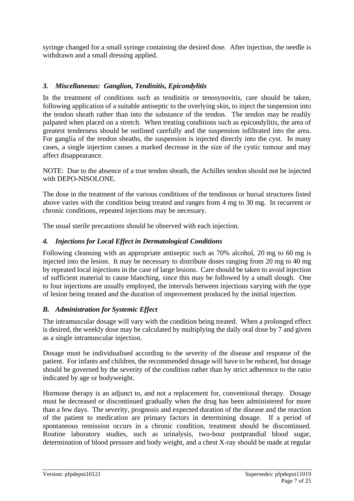syringe changed for a small syringe containing the desired dose. After injection, the needle is withdrawn and a small dressing applied.

### *3. Miscellaneous: Ganglion, Tendinitis, Epicondylitis*

In the treatment of conditions such as tendinitis or tenosynovitis, care should be taken, following application of a suitable antiseptic to the overlying skin, to inject the suspension into the tendon sheath rather than into the substance of the tendon. The tendon may be readily palpated when placed on a stretch. When treating conditions such as epicondylitis, the area of greatest tenderness should be outlined carefully and the suspension infiltrated into the area. For ganglia of the tendon sheaths, the suspension is injected directly into the cyst. In many cases, a single injection causes a marked decrease in the size of the cystic tumour and may affect disappearance.

NOTE: Due to the absence of a true tendon sheath, the Achilles tendon should not be injected with DEPO-NISOLONE.

The dose in the treatment of the various conditions of the tendinous or bursal structures listed above varies with the condition being treated and ranges from 4 mg to 30 mg. In recurrent or chronic conditions, repeated injections may be necessary.

The usual sterile precautions should be observed with each injection.

### *4. Injections for Local Effect in Dermatological Conditions*

Following cleansing with an appropriate antiseptic such as 70% alcohol, 20 mg to 60 mg is injected into the lesion. It may be necessary to distribute doses ranging from 20 mg to 40 mg by repeated local injections in the case of large lesions. Care should be taken to avoid injection of sufficient material to cause blanching, since this may be followed by a small slough. One to four injections are usually employed, the intervals between injections varying with the type of lesion being treated and the duration of improvement produced by the initial injection.

### *B. Administration for Systemic Effect*

The intramuscular dosage will vary with the condition being treated. When a prolonged effect is desired, the weekly dose may be calculated by multiplying the daily oral dose by 7 and given as a single intramuscular injection.

Dosage must be individualised according to the severity of the disease and response of the patient. For infants and children, the recommended dosage will have to be reduced, but dosage should be governed by the severity of the condition rather than by strict adherence to the ratio indicated by age or bodyweight.

Hormone therapy is an adjunct to, and not a replacement for, conventional therapy. Dosage must be decreased or discontinued gradually when the drug has been administered for more than a few days. The severity, prognosis and expected duration of the disease and the reaction of the patient to medication are primary factors in determining dosage. If a period of spontaneous remission occurs in a chronic condition, treatment should be discontinued. Routine laboratory studies, such as urinalysis, two-hour postprandial blood sugar, determination of blood pressure and body weight, and a chest X-ray should be made at regular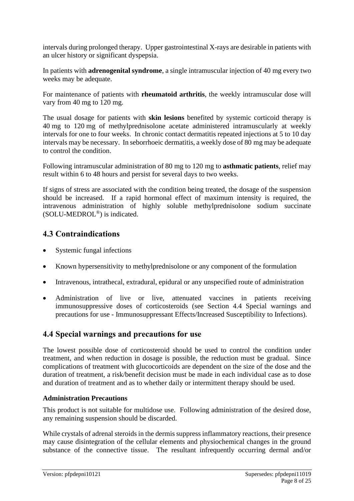intervals during prolonged therapy. Upper gastrointestinal X-rays are desirable in patients with an ulcer history or significant dyspepsia.

In patients with **adrenogenital syndrome**, a single intramuscular injection of 40 mg every two weeks may be adequate.

For maintenance of patients with **rheumatoid arthritis**, the weekly intramuscular dose will vary from 40 mg to 120 mg.

The usual dosage for patients with **skin lesions** benefited by systemic corticoid therapy is 40 mg to 120 mg of methylprednisolone acetate administered intramuscularly at weekly intervals for one to four weeks. In chronic contact dermatitis repeated injections at 5 to 10 day intervals may be necessary. In seborrhoeic dermatitis, a weekly dose of 80 mg may be adequate to control the condition.

Following intramuscular administration of 80 mg to 120 mg to **asthmatic patients**, relief may result within 6 to 48 hours and persist for several days to two weeks.

If signs of stress are associated with the condition being treated, the dosage of the suspension should be increased. If a rapid hormonal effect of maximum intensity is required, the intravenous administration of highly soluble methylprednisolone sodium succinate (SOLU-MEDROL®) is indicated.

# **4.3 Contraindications**

- Systemic fungal infections
- Known hypersensitivity to methylprednisolone or any component of the formulation
- Intravenous, intrathecal, extradural, epidural or any unspecified route of administration
- Administration of live or live, attenuated vaccines in patients receiving immunosuppressive doses of corticosteroids (see Section 4.4 Special warnings and precautions for use - Immunosuppressant Effects/Increased Susceptibility to Infections).

# **4.4 Special warnings and precautions for use**

The lowest possible dose of corticosteroid should be used to control the condition under treatment, and when reduction in dosage is possible, the reduction must be gradual. Since complications of treatment with glucocorticoids are dependent on the size of the dose and the duration of treatment, a risk/benefit decision must be made in each individual case as to dose and duration of treatment and as to whether daily or intermittent therapy should be used.

## **Administration Precautions**

This product is not suitable for multidose use. Following administration of the desired dose, any remaining suspension should be discarded.

While crystals of adrenal steroids in the dermis suppress inflammatory reactions, their presence may cause disintegration of the cellular elements and physiochemical changes in the ground substance of the connective tissue. The resultant infrequently occurring dermal and/or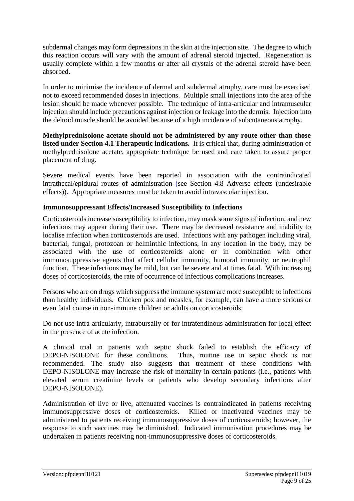subdermal changes may form depressions in the skin at the injection site. The degree to which this reaction occurs will vary with the amount of adrenal steroid injected. Regeneration is usually complete within a few months or after all crystals of the adrenal steroid have been absorbed.

In order to minimise the incidence of dermal and subdermal atrophy, care must be exercised not to exceed recommended doses in injections. Multiple small injections into the area of the lesion should be made whenever possible. The technique of intra-articular and intramuscular injection should include precautions against injection or leakage into the dermis. Injection into the deltoid muscle should be avoided because of a high incidence of subcutaneous atrophy.

**Methylprednisolone acetate should not be administered by any route other than those listed under Section 4.1 Therapeutic indications.** It is critical that, during administration of methylprednisolone acetate, appropriate technique be used and care taken to assure proper placement of drug.

Severe medical events have been reported in association with the contraindicated intrathecal/epidural routes of administration (see Section 4.8 Adverse effects (undesirable effects)). Appropriate measures must be taken to avoid intravascular injection.

### **Immunosuppressant Effects/Increased Susceptibility to Infections**

Corticosteroids increase susceptibility to infection, may mask some signs of infection, and new infections may appear during their use. There may be decreased resistance and inability to localise infection when corticosteroids are used. Infections with any pathogen including viral, bacterial, fungal, protozoan or helminthic infections, in any location in the body, may be associated with the use of corticosteroids alone or in combination with other immunosuppressive agents that affect cellular immunity, humoral immunity, or neutrophil function. These infections may be mild, but can be severe and at times fatal. With increasing doses of corticosteroids, the rate of occurrence of infectious complications increases.

Persons who are on drugs which suppress the immune system are more susceptible to infections than healthy individuals. Chicken pox and measles, for example, can have a more serious or even fatal course in non-immune children or adults on corticosteroids.

Do not use intra-articularly, intrabursally or for intratendinous administration for local effect in the presence of acute infection.

A clinical trial in patients with septic shock failed to establish the efficacy of DEPO-NISOLONE for these conditions. Thus, routine use in septic shock is not recommended. The study also suggests that treatment of these conditions with DEPO-NISOLONE may increase the risk of mortality in certain patients (i.e., patients with elevated serum creatinine levels or patients who develop secondary infections after DEPO-NISOLONE).

Administration of live or live, attenuated vaccines is contraindicated in patients receiving immunosuppressive doses of corticosteroids. Killed or inactivated vaccines may be administered to patients receiving immunosuppressive doses of corticosteroids; however, the response to such vaccines may be diminished. Indicated immunisation procedures may be undertaken in patients receiving non-immunosuppressive doses of corticosteroids.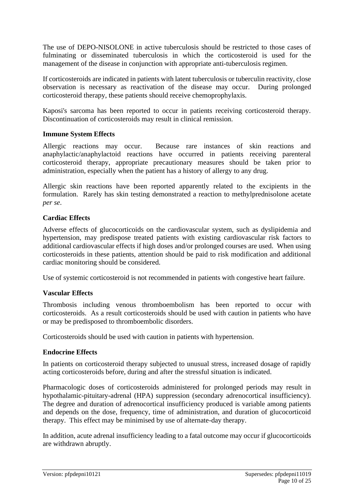The use of DEPO-NISOLONE in active tuberculosis should be restricted to those cases of fulminating or disseminated tuberculosis in which the corticosteroid is used for the management of the disease in conjunction with appropriate anti-tuberculosis regimen.

If corticosteroids are indicated in patients with latent tuberculosis or tuberculin reactivity, close observation is necessary as reactivation of the disease may occur. During prolonged corticosteroid therapy, these patients should receive chemoprophylaxis.

Kaposi's sarcoma has been reported to occur in patients receiving corticosteroid therapy. Discontinuation of corticosteroids may result in clinical remission.

### **Immune System Effects**

Allergic reactions may occur. Because rare instances of skin reactions and anaphylactic/anaphylactoid reactions have occurred in patients receiving parenteral corticosteroid therapy, appropriate precautionary measures should be taken prior to administration, especially when the patient has a history of allergy to any drug.

Allergic skin reactions have been reported apparently related to the excipients in the formulation. Rarely has skin testing demonstrated a reaction to methylprednisolone acetate *per se*.

### **Cardiac Effects**

Adverse effects of glucocorticoids on the cardiovascular system, such as dyslipidemia and hypertension, may predispose treated patients with existing cardiovascular risk factors to additional cardiovascular effects if high doses and/or prolonged courses are used. When using corticosteroids in these patients, attention should be paid to risk modification and additional cardiac monitoring should be considered.

Use of systemic corticosteroid is not recommended in patients with congestive heart failure.

### **Vascular Effects**

Thrombosis including venous thromboembolism has been reported to occur with corticosteroids. As a result corticosteroids should be used with caution in patients who have or may be predisposed to thromboembolic disorders.

Corticosteroids should be used with caution in patients with hypertension.

### **Endocrine Effects**

In patients on corticosteroid therapy subjected to unusual stress, increased dosage of rapidly acting corticosteroids before, during and after the stressful situation is indicated.

Pharmacologic doses of corticosteroids administered for prolonged periods may result in hypothalamic-pituitary-adrenal (HPA) suppression (secondary adrenocortical insufficiency). The degree and duration of adrenocortical insufficiency produced is variable among patients and depends on the dose, frequency, time of administration, and duration of glucocorticoid therapy. This effect may be minimised by use of alternate-day therapy.

In addition, acute adrenal insufficiency leading to a fatal outcome may occur if glucocorticoids are withdrawn abruptly.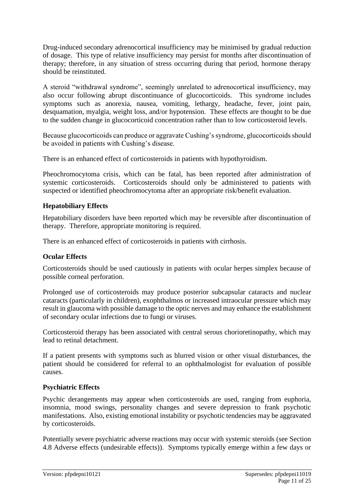Drug-induced secondary adrenocortical insufficiency may be minimised by gradual reduction of dosage. This type of relative insufficiency may persist for months after discontinuation of therapy; therefore, in any situation of stress occurring during that period, hormone therapy should be reinstituted.

A steroid "withdrawal syndrome", seemingly unrelated to adrenocortical insufficiency, may also occur following abrupt discontinuance of glucocorticoids. This syndrome includes symptoms such as anorexia, nausea, vomiting, lethargy, headache, fever, joint pain, desquamation, myalgia, weight loss, and/or hypotension. These effects are thought to be due to the sudden change in glucocorticoid concentration rather than to low corticosteroid levels.

Because glucocorticoids can produce or aggravate Cushing's syndrome, glucocorticoids should be avoided in patients with Cushing's disease.

There is an enhanced effect of corticosteroids in patients with hypothyroidism.

Pheochromocytoma crisis, which can be fatal, has been reported after administration of systemic corticosteroids. Corticosteroids should only be administered to patients with suspected or identified pheochromocytoma after an appropriate risk/benefit evaluation.

### **Hepatobiliary Effects**

Hepatobiliary disorders have been reported which may be reversible after discontinuation of therapy. Therefore, appropriate monitoring is required.

There is an enhanced effect of corticosteroids in patients with cirrhosis.

## **Ocular Effects**

Corticosteroids should be used cautiously in patients with ocular herpes simplex because of possible corneal perforation.

Prolonged use of corticosteroids may produce posterior subcapsular cataracts and nuclear cataracts (particularly in children), exophthalmos or increased intraocular pressure which may result in glaucoma with possible damage to the optic nerves and may enhance the establishment of secondary ocular infections due to fungi or viruses.

Corticosteroid therapy has been associated with central serous chorioretinopathy, which may lead to retinal detachment.

If a patient presents with symptoms such as blurred vision or other visual disturbances, the patient should be considered for referral to an ophthalmologist for evaluation of possible causes.

## **Psychiatric Effects**

Psychic derangements may appear when corticosteroids are used, ranging from euphoria, insomnia, mood swings, personality changes and severe depression to frank psychotic manifestations. Also, existing emotional instability or psychotic tendencies may be aggravated by corticosteroids.

Potentially severe psychiatric adverse reactions may occur with systemic steroids (see Section 4.8 Adverse effects (undesirable effects)). Symptoms typically emerge within a few days or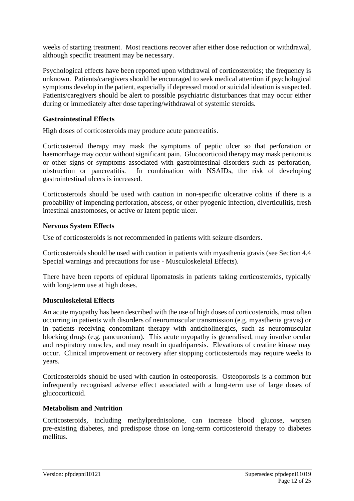weeks of starting treatment. Most reactions recover after either dose reduction or withdrawal, although specific treatment may be necessary.

Psychological effects have been reported upon withdrawal of corticosteroids; the frequency is unknown. Patients/caregivers should be encouraged to seek medical attention if psychological symptoms develop in the patient, especially if depressed mood or suicidal ideation is suspected. Patients/caregivers should be alert to possible psychiatric disturbances that may occur either during or immediately after dose tapering/withdrawal of systemic steroids.

### **Gastrointestinal Effects**

High doses of corticosteroids may produce acute pancreatitis.

Corticosteroid therapy may mask the symptoms of peptic ulcer so that perforation or haemorrhage may occur without significant pain. Glucocorticoid therapy may mask peritonitis or other signs or symptoms associated with gastrointestinal disorders such as perforation, obstruction or pancreatitis. In combination with NSAIDs, the risk of developing gastrointestinal ulcers is increased.

Corticosteroids should be used with caution in non-specific ulcerative colitis if there is a probability of impending perforation, abscess, or other pyogenic infection, diverticulitis, fresh intestinal anastomoses, or active or latent peptic ulcer.

### **Nervous System Effects**

Use of corticosteroids is not recommended in patients with seizure disorders.

Corticosteroids should be used with caution in patients with myasthenia gravis (see Section 4.4 Special warnings and precautions for use - Musculoskeletal Effects).

There have been reports of epidural lipomatosis in patients taking corticosteroids, typically with long-term use at high doses.

### **Musculoskeletal Effects**

An acute myopathy has been described with the use of high doses of corticosteroids, most often occurring in patients with disorders of neuromuscular transmission (e.g. myasthenia gravis) or in patients receiving concomitant therapy with anticholinergics, such as neuromuscular blocking drugs (e.g. pancuronium). This acute myopathy is generalised, may involve ocular and respiratory muscles, and may result in quadriparesis. Elevations of creatine kinase may occur. Clinical improvement or recovery after stopping corticosteroids may require weeks to years.

Corticosteroids should be used with caution in osteoporosis. Osteoporosis is a common but infrequently recognised adverse effect associated with a long-term use of large doses of glucocorticoid.

### **Metabolism and Nutrition**

Corticosteroids, including methylprednisolone, can increase blood glucose, worsen pre-existing diabetes, and predispose those on long-term corticosteroid therapy to diabetes mellitus.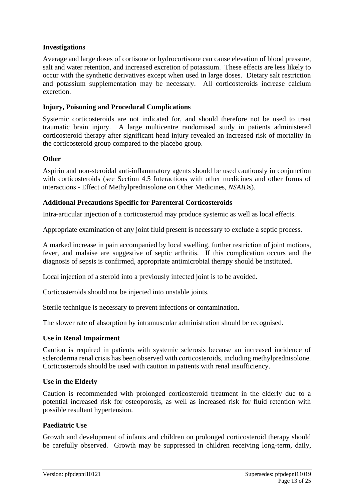### **Investigations**

Average and large doses of cortisone or hydrocortisone can cause elevation of blood pressure, salt and water retention, and increased excretion of potassium. These effects are less likely to occur with the synthetic derivatives except when used in large doses. Dietary salt restriction and potassium supplementation may be necessary. All corticosteroids increase calcium excretion.

### **Injury, Poisoning and Procedural Complications**

Systemic corticosteroids are not indicated for, and should therefore not be used to treat traumatic brain injury. A large multicentre randomised study in patients administered corticosteroid therapy after significant head injury revealed an increased risk of mortality in the corticosteroid group compared to the placebo group.

### **Other**

Aspirin and non-steroidal anti-inflammatory agents should be used cautiously in conjunction with corticosteroids (see Section 4.5 Interactions with other medicines and other forms of interactions - Effect of Methylprednisolone on Other Medicines, *NSAIDs*).

### **Additional Precautions Specific for Parenteral Corticosteroids**

Intra-articular injection of a corticosteroid may produce systemic as well as local effects.

Appropriate examination of any joint fluid present is necessary to exclude a septic process.

A marked increase in pain accompanied by local swelling, further restriction of joint motions, fever, and malaise are suggestive of septic arthritis. If this complication occurs and the diagnosis of sepsis is confirmed, appropriate antimicrobial therapy should be instituted.

Local injection of a steroid into a previously infected joint is to be avoided.

Corticosteroids should not be injected into unstable joints.

Sterile technique is necessary to prevent infections or contamination.

The slower rate of absorption by intramuscular administration should be recognised.

### **Use in Renal Impairment**

Caution is required in patients with systemic sclerosis because an increased incidence of scleroderma renal crisis has been observed with corticosteroids, including methylprednisolone. Corticosteroids should be used with caution in patients with renal insufficiency.

### **Use in the Elderly**

Caution is recommended with prolonged corticosteroid treatment in the elderly due to a potential increased risk for osteoporosis, as well as increased risk for fluid retention with possible resultant hypertension.

### **Paediatric Use**

Growth and development of infants and children on prolonged corticosteroid therapy should be carefully observed. Growth may be suppressed in children receiving long-term, daily,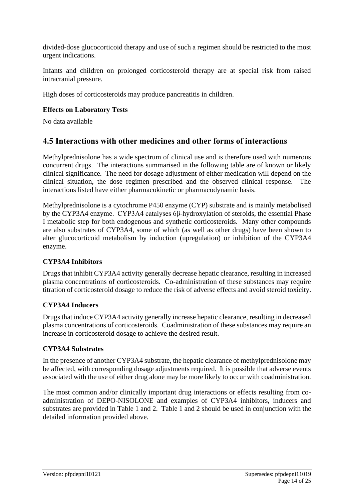divided-dose glucocorticoid therapy and use of such a regimen should be restricted to the most urgent indications.

Infants and children on prolonged corticosteroid therapy are at special risk from raised intracranial pressure.

High doses of corticosteroids may produce pancreatitis in children.

# **Effects on Laboratory Tests**

No data available

# **4.5 Interactions with other medicines and other forms of interactions**

Methylprednisolone has a wide spectrum of clinical use and is therefore used with numerous concurrent drugs. The interactions summarised in the following table are of known or likely clinical significance. The need for dosage adjustment of either medication will depend on the clinical situation, the dose regimen prescribed and the observed clinical response. The interactions listed have either pharmacokinetic or pharmacodynamic basis.

Methylprednisolone is a cytochrome P450 enzyme (CYP) substrate and is mainly metabolised by the CYP3A4 enzyme. CYP3A4 catalyses 6β-hydroxylation of steroids, the essential Phase I metabolic step for both endogenous and synthetic corticosteroids. Many other compounds are also substrates of CYP3A4, some of which (as well as other drugs) have been shown to alter glucocorticoid metabolism by induction (upregulation) or inhibition of the CYP3A4 enzyme.

## **CYP3A4 Inhibitors**

Drugs that inhibit CYP3A4 activity generally decrease hepatic clearance, resulting in increased plasma concentrations of corticosteroids. Co-administration of these substances may require titration of corticosteroid dosage to reduce the risk of adverse effects and avoid steroid toxicity.

## **CYP3A4 Inducers**

Drugs that induce CYP3A4 activity generally increase hepatic clearance, resulting in decreased plasma concentrations of corticosteroids. Coadministration of these substances may require an increase in corticosteroid dosage to achieve the desired result.

### **CYP3A4 Substrates**

In the presence of another CYP3A4 substrate, the hepatic clearance of methylprednisolone may be affected, with corresponding dosage adjustments required. It is possible that adverse events associated with the use of either drug alone may be more likely to occur with coadministration.

The most common and/or clinically important drug interactions or effects resulting from coadministration of DEPO-NISOLONE and examples of CYP3A4 inhibitors, inducers and substrates are provided in Table 1 and 2. Table 1 and 2 should be used in conjunction with the detailed information provided above.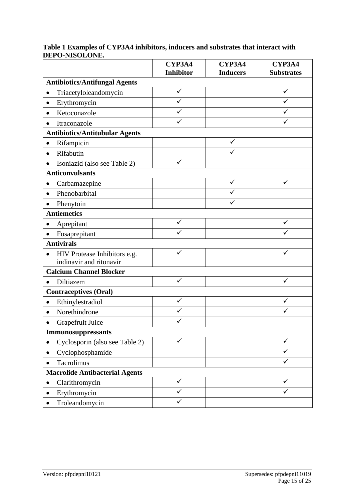|                                             | CYP3A4           | CYP3A4          | CYP3A4            |
|---------------------------------------------|------------------|-----------------|-------------------|
|                                             | <b>Inhibitor</b> | <b>Inducers</b> | <b>Substrates</b> |
| <b>Antibiotics/Antifungal Agents</b>        |                  |                 |                   |
| Triacetyloleandomycin<br>$\bullet$          | $\checkmark$     |                 | ✓                 |
| Erythromycin<br>٠                           | ✓                |                 | ✓                 |
| Ketoconazole<br>$\bullet$                   |                  |                 |                   |
| Itraconazole                                |                  |                 |                   |
| <b>Antibiotics/Antitubular Agents</b>       |                  |                 |                   |
| Rifampicin                                  |                  | ✓               |                   |
| Rifabutin<br>$\bullet$                      |                  |                 |                   |
| Isoniazid (also see Table 2)                | ✓                |                 |                   |
| <b>Anticonvulsants</b>                      |                  |                 |                   |
| Carbamazepine<br>$\bullet$                  |                  | ✓               | ✓                 |
| Phenobarbital<br>$\bullet$                  |                  |                 |                   |
| Phenytoin<br>$\bullet$                      |                  |                 |                   |
| <b>Antiemetics</b>                          |                  |                 |                   |
| Aprepitant                                  |                  |                 |                   |
| Fosaprepitant                               |                  |                 |                   |
| <b>Antivirals</b>                           |                  |                 |                   |
| HIV Protease Inhibitors e.g.<br>$\bullet$   | ✓                |                 | ✓                 |
| indinavir and ritonavir                     |                  |                 |                   |
| <b>Calcium Channel Blocker</b>              |                  |                 |                   |
| Diltiazem<br>$\bullet$                      | $\checkmark$     |                 | ✓                 |
| <b>Contraceptives (Oral)</b>                |                  |                 |                   |
| Ethinylestradiol                            | $\checkmark$     |                 |                   |
| Norethindrone                               |                  |                 |                   |
| Grapefruit Juice                            |                  |                 |                   |
| Immunosuppressants                          |                  |                 |                   |
| Cyclosporin (also see Table 2)<br>$\bullet$ | ✓                |                 | ✓                 |
| Cyclophosphamide                            |                  |                 | ✓                 |
| Tacrolimus                                  |                  |                 | ✓                 |
| <b>Macrolide Antibacterial Agents</b>       |                  |                 |                   |
| Clarithromycin                              | ✓                |                 |                   |
| Erythromycin<br>$\bullet$                   |                  |                 |                   |
| Troleandomycin                              | ✓                |                 |                   |

### **Table 1 Examples of CYP3A4 inhibitors, inducers and substrates that interact with DEPO-NISOLONE.**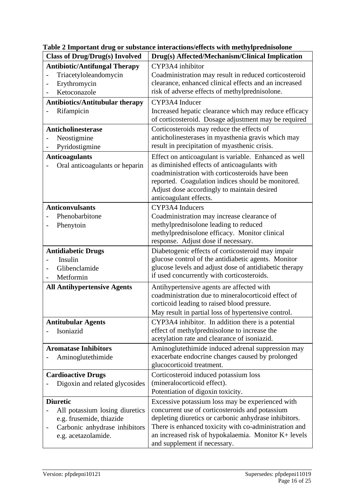| <b>Class of Drug/Drug(s) Involved</b>                                                                              | Drug(s) Affected/Mechanism/Clinical Implication                                                                                                                                                                                                                                         |
|--------------------------------------------------------------------------------------------------------------------|-----------------------------------------------------------------------------------------------------------------------------------------------------------------------------------------------------------------------------------------------------------------------------------------|
| <b>Antibiotic/Antifungal Therapy</b>                                                                               | CYP3A4 inhibitor                                                                                                                                                                                                                                                                        |
| Triacetyloleandomycin<br>Erythromycin<br>Ketoconazole                                                              | Coadministration may result in reduced corticosteroid<br>clearance, enhanced clinical effects and an increased<br>risk of adverse effects of methylprednisolone.                                                                                                                        |
| <b>Antibiotics/Antitubular therapy</b>                                                                             | CYP3A4 Inducer                                                                                                                                                                                                                                                                          |
| Rifampicin                                                                                                         | Increased hepatic clearance which may reduce efficacy<br>of corticosteroid. Dosage adjustment may be required                                                                                                                                                                           |
| Anticholinesterase<br>Neostigmine<br>Pyridostigmine                                                                | Corticosteroids may reduce the effects of<br>anticholinesterases in myasthenia gravis which may<br>result in precipitation of myasthenic crisis.                                                                                                                                        |
| <b>Anticoagulants</b><br>Oral anticoagulants or heparin                                                            | Effect on anticoagulant is variable. Enhanced as well<br>as diminished effects of anticoagulants with<br>coadministration with corticosteroids have been<br>reported. Coagulation indices should be monitored.<br>Adjust dose accordingly to maintain desired<br>anticoagulant effects. |
| <b>Anticonvulsants</b>                                                                                             | CYP3A4 Inducers                                                                                                                                                                                                                                                                         |
| Phenobarbitone<br>Phenytoin<br>$\qquad \qquad \blacksquare$                                                        | Coadministration may increase clearance of<br>methylprednisolone leading to reduced<br>methylprednisolone efficacy. Monitor clinical<br>response. Adjust dose if necessary.                                                                                                             |
| <b>Antidiabetic Drugs</b><br>Insulin<br>Glibenclamide<br>Metformin                                                 | Diabetogenic effects of corticosteroid may impair<br>glucose control of the antidiabetic agents. Monitor<br>glucose levels and adjust dose of antidiabetic therapy<br>if used concurrently with corticosteroids.                                                                        |
| <b>All Antihypertensive Agents</b>                                                                                 | Antihypertensive agents are affected with<br>coadministration due to mineralocorticoid effect of<br>corticoid leading to raised blood pressure.<br>May result in partial loss of hypertensive control.                                                                                  |
| <b>Antitubular Agents</b><br>Isoniazid                                                                             | CYP3A4 inhibitor. In addition there is a potential<br>effect of methylprednisolone to increase the<br>acetylation rate and clearance of isoniazid.                                                                                                                                      |
| <b>Aromatase Inhibitors</b><br>Aminoglutethimide                                                                   | Aminoglutethimide induced adrenal suppression may<br>exacerbate endocrine changes caused by prolonged<br>glucocorticoid treatment.                                                                                                                                                      |
| <b>Cardioactive Drugs</b><br>Digoxin and related glycosides                                                        | Corticosteroid induced potassium loss<br>(mineralocorticoid effect).<br>Potentiation of digoxin toxicity.                                                                                                                                                                               |
| <b>Diuretic</b>                                                                                                    | Excessive potassium loss may be experienced with                                                                                                                                                                                                                                        |
| All potassium losing diuretics<br>e.g. frusemide, thiazide<br>Carbonic anhydrase inhibitors<br>e.g. acetazolamide. | concurrent use of corticosteroids and potassium<br>depleting diuretics or carbonic anhydrase inhibitors.<br>There is enhanced toxicity with co-administration and<br>an increased risk of hypokalaemia. Monitor K+ levels<br>and supplement if necessary.                               |

**Table 2 Important drug or substance interactions/effects with methylprednisolone**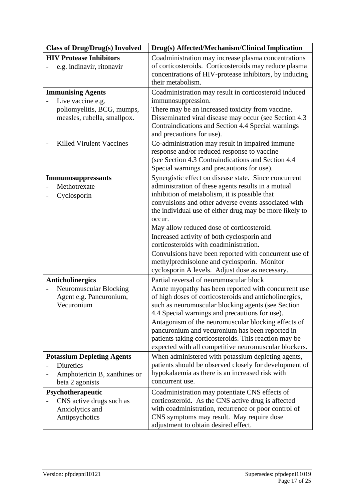| <b>Class of Drug/Drug(s) Involved</b> | Drug(s) Affected/Mechanism/Clinical Implication                                                                                      |
|---------------------------------------|--------------------------------------------------------------------------------------------------------------------------------------|
| <b>HIV Protease Inhibitors</b>        | Coadministration may increase plasma concentrations                                                                                  |
| e.g. indinavir, ritonavir             | of corticosteroids. Corticosteroids may reduce plasma<br>concentrations of HIV-protease inhibitors, by inducing<br>their metabolism. |
| <b>Immunising Agents</b>              | Coadministration may result in corticosteroid induced                                                                                |
| Live vaccine e.g.                     | immunosuppression.                                                                                                                   |
| poliomyelitis, BCG, mumps,            | There may be an increased toxicity from vaccine.                                                                                     |
| measles, rubella, smallpox.           | Disseminated viral disease may occur (see Section 4.3                                                                                |
|                                       | Contraindications and Section 4.4 Special warnings<br>and precautions for use).                                                      |
| <b>Killed Virulent Vaccines</b>       | Co-administration may result in impaired immune                                                                                      |
|                                       | response and/or reduced response to vaccine                                                                                          |
|                                       | (see Section 4.3 Contraindications and Section 4.4                                                                                   |
|                                       | Special warnings and precautions for use).                                                                                           |
| <b>Immunosuppressants</b>             | Synergistic effect on disease state. Since concurrent                                                                                |
| Methotrexate                          | administration of these agents results in a mutual                                                                                   |
| Cyclosporin                           | inhibition of metabolism, it is possible that<br>convulsions and other adverse events associated with                                |
|                                       | the individual use of either drug may be more likely to                                                                              |
|                                       | occur.                                                                                                                               |
|                                       | May allow reduced dose of corticosteroid.                                                                                            |
|                                       | Increased activity of both cyclosporin and                                                                                           |
|                                       | corticosteroids with coadministration.                                                                                               |
|                                       | Convulsions have been reported with concurrent use of                                                                                |
|                                       | methylprednisolone and cyclosporin. Monitor                                                                                          |
|                                       | cyclosporin A levels. Adjust dose as necessary.                                                                                      |
| <b>Anticholinergics</b>               | Partial reversal of neuromuscular block                                                                                              |
| Neuromuscular Blocking                | Acute myopathy has been reported with concurrent use                                                                                 |
| Agent e.g. Pancuronium,               | of high doses of corticosteroids and anticholinergics,                                                                               |
| Vecuronium                            | such as neuromuscular blocking agents (see Section                                                                                   |
|                                       | 4.4 Special warnings and precautions for use).                                                                                       |
|                                       | Antagonism of the neuromuscular blocking effects of                                                                                  |
|                                       | pancuronium and vecuronium has been reported in<br>patients taking corticosteroids. This reaction may be                             |
|                                       | expected with all competitive neuromuscular blockers.                                                                                |
| <b>Potassium Depleting Agents</b>     | When administered with potassium depleting agents,                                                                                   |
| Diuretics                             | patients should be observed closely for development of                                                                               |
| Amphotericin B, xanthines or          | hypokalaemia as there is an increased risk with                                                                                      |
| beta 2 agonists                       | concurrent use.                                                                                                                      |
| Psychotherapeutic                     | Coadministration may potentiate CNS effects of                                                                                       |
| CNS active drugs such as              | corticosteroid. As the CNS active drug is affected                                                                                   |
| Anxiolytics and                       | with coadministration, recurrence or poor control of                                                                                 |
| Antipsychotics                        | CNS symptoms may result. May require dose                                                                                            |
|                                       | adjustment to obtain desired effect.                                                                                                 |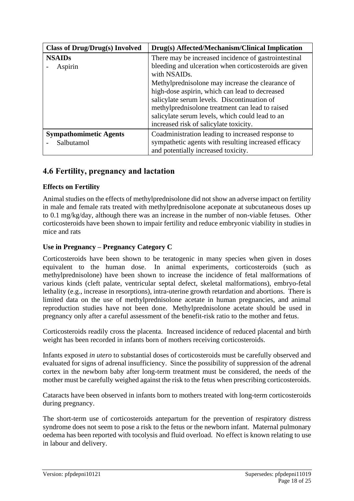| <b>Class of Drug/Drug(s) Involved</b>       | Drug(s) Affected/Mechanism/Clinical Implication                                                                                                                                                                                                                                                   |
|---------------------------------------------|---------------------------------------------------------------------------------------------------------------------------------------------------------------------------------------------------------------------------------------------------------------------------------------------------|
| <b>NSAIDs</b><br>Aspirin                    | There may be increased incidence of gastrointestinal<br>bleeding and ulceration when corticosteroids are given<br>with NSAID <sub>s</sub> .                                                                                                                                                       |
|                                             | Methylprednisolone may increase the clearance of<br>high-dose aspirin, which can lead to decreased<br>salicylate serum levels. Discontinuation of<br>methylprednisolone treatment can lead to raised<br>salicylate serum levels, which could lead to an<br>increased risk of salicylate toxicity. |
| <b>Sympathomimetic Agents</b><br>Salbutamol | Coadministration leading to increased response to<br>sympathetic agents with resulting increased efficacy<br>and potentially increased toxicity.                                                                                                                                                  |

# **4.6 Fertility, pregnancy and lactation**

## **Effects on Fertility**

Animal studies on the effects of methylprednisolone did not show an adverse impact on fertility in male and female rats treated with methylprednisolone aceponate at subcutaneous doses up to 0.1 mg/kg/day, although there was an increase in the number of non-viable fetuses. Other corticosteroids have been shown to impair fertility and reduce embryonic viability in studies in mice and rats

## **Use in Pregnancy – Pregnancy Category C**

Corticosteroids have been shown to be teratogenic in many species when given in doses equivalent to the human dose. In animal experiments, corticosteroids (such as methylprednisolone) have been shown to increase the incidence of fetal malformations of various kinds (cleft palate, ventricular septal defect, skeletal malformations), embryo-fetal lethality (e.g., increase in resorptions), intra-uterine growth retardation and abortions. There is limited data on the use of methylprednisolone acetate in human pregnancies, and animal reproduction studies have not been done. Methylprednisolone acetate should be used in pregnancy only after a careful assessment of the benefit-risk ratio to the mother and fetus.

Corticosteroids readily cross the placenta. Increased incidence of reduced placental and birth weight has been recorded in infants born of mothers receiving corticosteroids.

Infants exposed *in utero* to substantial doses of corticosteroids must be carefully observed and evaluated for signs of adrenal insufficiency. Since the possibility of suppression of the adrenal cortex in the newborn baby after long-term treatment must be considered, the needs of the mother must be carefully weighed against the risk to the fetus when prescribing corticosteroids.

Cataracts have been observed in infants born to mothers treated with long-term corticosteroids during pregnancy.

The short-term use of corticosteroids antepartum for the prevention of respiratory distress syndrome does not seem to pose a risk to the fetus or the newborn infant. Maternal pulmonary oedema has been reported with tocolysis and fluid overload. No effect is known relating to use in labour and delivery.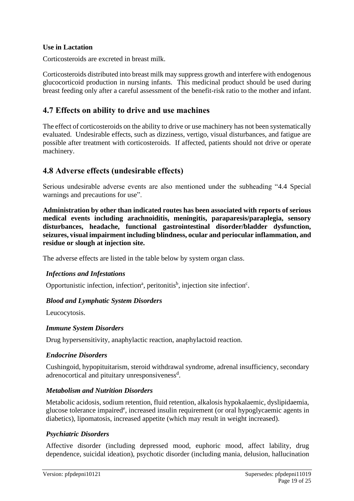### **Use in Lactation**

Corticosteroids are excreted in breast milk.

Corticosteroids distributed into breast milk may suppress growth and interfere with endogenous glucocorticoid production in nursing infants. This medicinal product should be used during breast feeding only after a careful assessment of the benefit-risk ratio to the mother and infant.

# **4.7 Effects on ability to drive and use machines**

The effect of corticosteroids on the ability to drive or use machinery has not been systematically evaluated. Undesirable effects, such as dizziness, vertigo, visual disturbances, and fatigue are possible after treatment with corticosteroids. If affected, patients should not drive or operate machinery.

# **4.8 Adverse effects (undesirable effects)**

Serious undesirable adverse events are also mentioned under the subheading "4.4 Special warnings and precautions for use".

**Administration by other than indicated routes has been associated with reports of serious medical events including arachnoiditis, meningitis, paraparesis/paraplegia, sensory disturbances, headache, functional gastrointestinal disorder/bladder dysfunction, seizures, visual impairment including blindness, ocular and periocular inflammation, and residue or slough at injection site.**

The adverse effects are listed in the table below by system organ class.

### *Infections and Infestations*

Opportunistic infection, infection<sup>a</sup>, peritonitis<sup>b</sup>, injection site infection<sup>c</sup>.

### *Blood and Lymphatic System Disorders*

Leucocytosis.

### *Immune System Disorders*

Drug hypersensitivity, anaphylactic reaction, anaphylactoid reaction.

### *Endocrine Disorders*

Cushingoid, hypopituitarism, steroid withdrawal syndrome, adrenal insufficiency, secondary adrenocortical and pituitary unresponsiveness<sup>d</sup>.

### *Metabolism and Nutrition Disorders*

Metabolic acidosis, sodium retention, fluid retention, alkalosis hypokalaemic, dyslipidaemia, glucose tolerance impaired<sup>e</sup>, increased insulin requirement (or oral hypoglycaemic agents in diabetics), lipomatosis, increased appetite (which may result in weight increased).

### *Psychiatric Disorders*

Affective disorder (including depressed mood, euphoric mood, affect lability, drug dependence, suicidal ideation), psychotic disorder (including mania, delusion, hallucination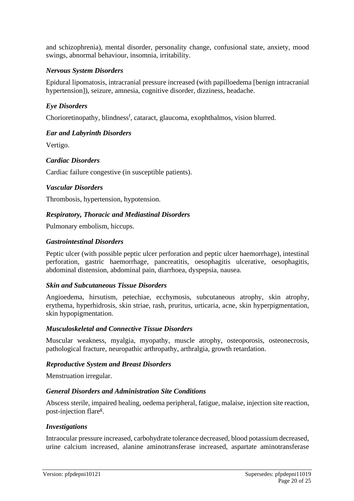and schizophrenia), mental disorder, personality change, confusional state, anxiety, mood swings, abnormal behaviour, insomnia, irritability.

### *Nervous System Disorders*

Epidural lipomatosis, intracranial pressure increased (with papilloedema [benign intracranial hypertension]), seizure, amnesia, cognitive disorder, dizziness, headache.

#### *Eye Disorders*

Chorioretinopathy, blindness<sup>f</sup>, cataract, glaucoma, exophthalmos, vision blurred.

#### *Ear and Labyrinth Disorders*

Vertigo.

### *Cardiac Disorders*

Cardiac failure congestive (in susceptible patients).

#### *Vascular Disorders*

Thrombosis, hypertension, hypotension.

#### *Respiratory, Thoracic and Mediastinal Disorders*

Pulmonary embolism, hiccups.

#### *Gastrointestinal Disorders*

Peptic ulcer (with possible peptic ulcer perforation and peptic ulcer haemorrhage), intestinal perforation, gastric haemorrhage, pancreatitis, oesophagitis ulcerative, oesophagitis, abdominal distension, abdominal pain, diarrhoea, dyspepsia, nausea.

#### *Skin and Subcutaneous Tissue Disorders*

Angioedema, hirsutism, petechiae, ecchymosis, subcutaneous atrophy, skin atrophy, erythema, hyperhidrosis, skin striae, rash, pruritus, urticaria, acne, skin hyperpigmentation, skin hypopigmentation.

#### *Musculoskeletal and Connective Tissue Disorders*

Muscular weakness, myalgia, myopathy, muscle atrophy, osteoporosis, osteonecrosis, pathological fracture, neuropathic arthropathy, arthralgia, growth retardation.

#### *Reproductive System and Breast Disorders*

Menstruation irregular.

### *General Disorders and Administration Site Conditions*

Abscess sterile, impaired healing, oedema peripheral, fatigue, malaise, injection site reaction, post-injection flare<sup>g</sup>.

#### *Investigations*

Intraocular pressure increased, carbohydrate tolerance decreased, blood potassium decreased, urine calcium increased, alanine aminotransferase increased, aspartate aminotransferase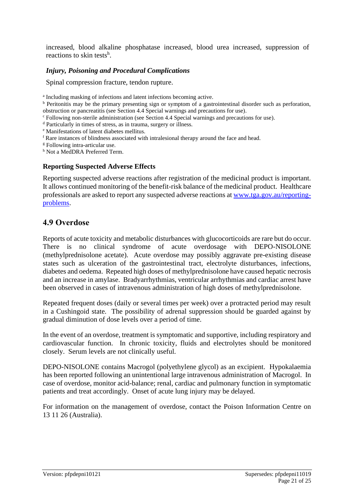increased, blood alkaline phosphatase increased, blood urea increased, suppression of reactions to skin tests<sup>h</sup>.

### *Injury, Poisoning and Procedural Complications*

Spinal compression fracture, tendon rupture.

- <sup>c</sup> Following non-sterile administration (see Section 4.4 Special warnings and precautions for use).
- <sup>d</sup> Particularly in times of stress, as in trauma, surgery or illness.
- <sup>e</sup> Manifestations of latent diabetes mellitus.
- <sup>f</sup> Rare instances of blindness associated with intralesional therapy around the face and head.
- <sup>g</sup> Following intra-articular use.

<sup>h</sup> Not a MedDRA Preferred Term.

#### **Reporting Suspected Adverse Effects**

Reporting suspected adverse reactions after registration of the medicinal product is important. It allows continued monitoring of the benefit-risk balance of the medicinal product. Healthcare professionals are asked to report any suspected adverse reactions at [www.tga.gov.au/reporting](http://www.tga.gov.au/reporting-problems)[problems.](http://www.tga.gov.au/reporting-problems)

## **4.9 Overdose**

Reports of acute toxicity and metabolic disturbances with glucocorticoids are rare but do occur. There is no clinical syndrome of acute overdosage with DEPO-NISOLONE (methylprednisolone acetate). Acute overdose may possibly aggravate pre-existing disease states such as ulceration of the gastrointestinal tract, electrolyte disturbances, infections, diabetes and oedema. Repeated high doses of methylprednisolone have caused hepatic necrosis and an increase in amylase. Bradyarrhythmias, ventricular arrhythmias and cardiac arrest have been observed in cases of intravenous administration of high doses of methylprednisolone.

Repeated frequent doses (daily or several times per week) over a protracted period may result in a Cushingoid state. The possibility of adrenal suppression should be guarded against by gradual diminution of dose levels over a period of time.

In the event of an overdose, treatment is symptomatic and supportive, including respiratory and cardiovascular function. In chronic toxicity, fluids and electrolytes should be monitored closely. Serum levels are not clinically useful.

DEPO-NISOLONE contains Macrogol (polyethylene glycol) as an excipient. Hypokalaemia has been reported following an unintentional large intravenous administration of Macrogol. In case of overdose, monitor acid-balance; renal, cardiac and pulmonary function in symptomatic patients and treat accordingly. Onset of acute lung injury may be delayed.

For information on the management of overdose, contact the Poison Information Centre on 13 11 26 (Australia).

a Including masking of infections and latent infections becoming active.

<sup>b</sup> Peritonitis may be the primary presenting sign or symptom of a gastrointestinal disorder such as perforation, obstruction or pancreatitis (see Section 4.4 Special warnings and precautions for use).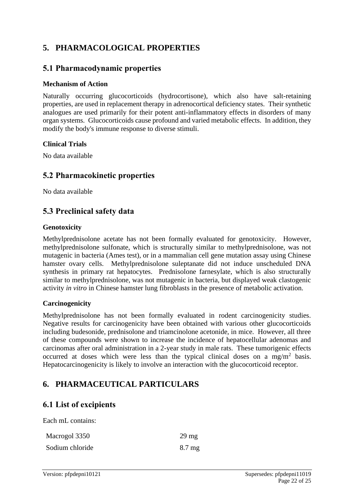# **5. PHARMACOLOGICAL PROPERTIES**

# **5.1 Pharmacodynamic properties**

#### **Mechanism of Action**

Naturally occurring glucocorticoids (hydrocortisone), which also have salt-retaining properties, are used in replacement therapy in adrenocortical deficiency states. Their synthetic analogues are used primarily for their potent anti-inflammatory effects in disorders of many organ systems. Glucocorticoids cause profound and varied metabolic effects. In addition, they modify the body's immune response to diverse stimuli.

#### **Clinical Trials**

No data available

# **5.2 Pharmacokinetic properties**

No data available

# **5.3 Preclinical safety data**

#### **Genotoxicity**

Methylprednisolone acetate has not been formally evaluated for genotoxicity. However, methylprednisolone sulfonate, which is structurally similar to methylprednisolone, was not mutagenic in bacteria (Ames test), or in a mammalian cell gene mutation assay using Chinese hamster ovary cells. Methylprednisolone suleptanate did not induce unscheduled DNA synthesis in primary rat hepatocytes. Prednisolone farnesylate, which is also structurally similar to methylprednisolone, was not mutagenic in bacteria, but displayed weak clastogenic activity *in vitro* in Chinese hamster lung fibroblasts in the presence of metabolic activation.

### **Carcinogenicity**

Methylprednisolone has not been formally evaluated in rodent carcinogenicity studies. Negative results for carcinogenicity have been obtained with various other glucocorticoids including budesonide, prednisolone and triamcinolone acetonide, in mice. However, all three of these compounds were shown to increase the incidence of hepatocellular adenomas and carcinomas after oral administration in a 2-year study in male rats. These tumorigenic effects occurred at doses which were less than the typical clinical doses on a mg/m<sup>2</sup> basis. Hepatocarcinogenicity is likely to involve an interaction with the glucocorticoid receptor.

# **6. PHARMACEUTICAL PARTICULARS**

# **6.1 List of excipients**

Each mL contains:

| Macrogol 3350   | $29 \text{ mg}$  |
|-----------------|------------------|
| Sodium chloride | $8.7 \text{ mg}$ |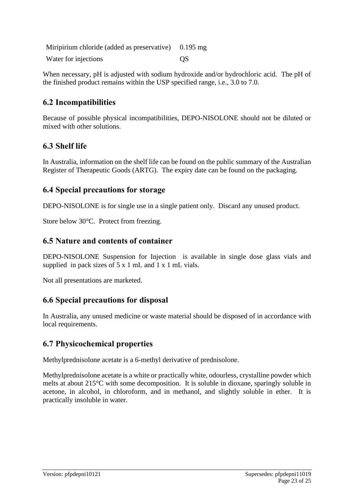Miripirium chloride (added as preservative) 0.195 mg Water for injections on the COS

When necessary, pH is adjusted with sodium hydroxide and/or hydrochloric acid. The pH of the finished product remains within the USP specified range, i.e., 3.0 to 7.0.

# **6.2 Incompatibilities**

Because of possible physical incompatibilities, DEPO-NISOLONE should not be diluted or mixed with other solutions.

# **6.3 Shelf life**

In Australia, information on the shelf life can be found on the public summary of the Australian Register of Therapeutic Goods (ARTG). The expiry date can be found on the packaging.

# **6.4 Special precautions for storage**

DEPO-NISOLONE is for single use in a single patient only. Discard any unused product.

Store below 30°C. Protect from freezing.

# **6.5 Nature and contents of container**

DEPO-NISOLONE Suspension for Injection is available in single dose glass vials and supplied in pack sizes of 5 x 1 mL and 1 x 1 mL vials.

Not all presentations are marketed.

# **6.6 Special precautions for disposal**

In Australia, any unused medicine or waste material should be disposed of in accordance with local requirements.

# **6.7 Physicochemical properties**

Methylprednisolone acetate is a 6-methyl derivative of prednisolone.

Methylprednisolone acetate is a white or practically white, odourless, crystalline powder which melts at about 215°C with some decomposition. It is soluble in dioxane, sparingly soluble in acetone, in alcohol, in chloroform, and in methanol, and slightly soluble in ether. It is practically insoluble in water.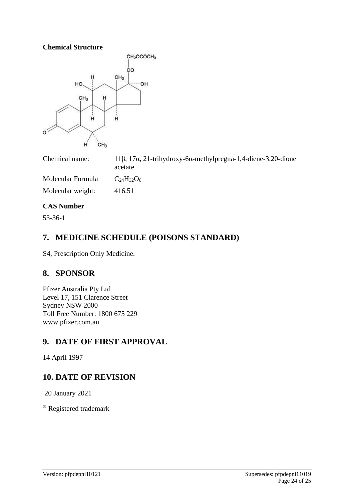**Chemical Structure**



Chemical name: 11β, 17α, 21-trihydroxy-6α-methylpregna-1,4-diene-3,20-dione acetate Molecular Formula  $C_{24}H_{32}O_6$ Molecular weight: 416.51

### **CAS Number**

53-36-1

# **7. MEDICINE SCHEDULE (POISONS STANDARD)**

S4, Prescription Only Medicine.

# **8. SPONSOR**

Pfizer Australia Pty Ltd Level 17, 151 Clarence Street Sydney NSW 2000 Toll Free Number: 1800 675 229 www.pfizer.com.au

# **9. DATE OF FIRST APPROVAL**

14 April 1997

# **10. DATE OF REVISION**

20 January 2021

® Registered trademark